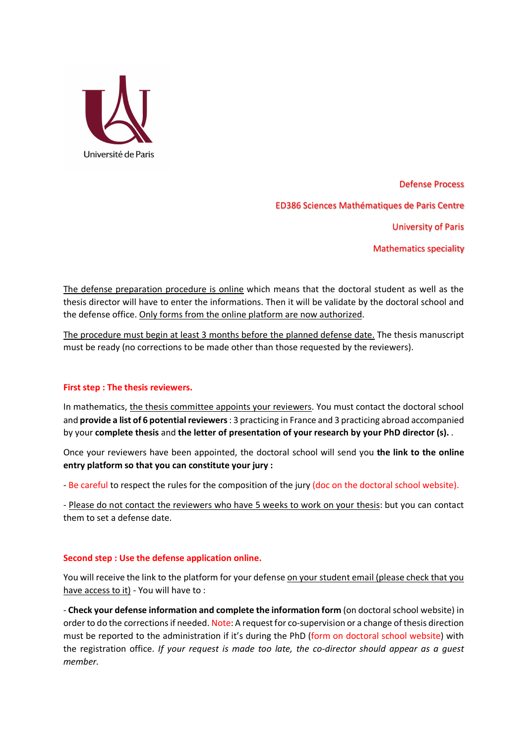

Defense Process ED386 Sciences Mathématiques de Paris Centre University of Paris Mathematics speciality

The defense preparation procedure is online which means that the doctoral student as well as the thesis director will have to enter the informations. Then it will be validate by the doctoral school and the defense office. Only forms from the online platform are now authorized.

The procedure must begin at least 3 months before the planned defense date. The thesis manuscript must be ready (no corrections to be made other than those requested by the reviewers).

#### **First step : The thesis reviewers.**

In mathematics, the thesis committee appoints your reviewers. You must contact the doctoral school and **provide a list of 6 potential reviewers** : 3 practicing in France and 3 practicing abroad accompanied by your **complete thesis** and **the letter of presentation of your research by your PhD director (s).** .

Once your reviewers have been appointed, the doctoral school will send you **the link to the online entry platform so that you can constitute your jury :**

- Be careful to respect the rules for the composition of the jury (doc on the doctoral school website).

- Please do not contact the reviewers who have 5 weeks to work on your thesis: but you can contact them to set a defense date.

## **Second step : Use the defense application online.**

You will receive the link to the platform for your defense on your student email (please check that you have access to it) - You will have to :

- **Check your defense information and complete the information form** (on doctoral school website) in order to do the corrections if needed. Note: A request for co-supervision or a change of thesis direction must be reported to the administration if it's during the PhD (form on doctoral school website) with the registration office. *If your request is made too late, the co-director should appear as a guest member.*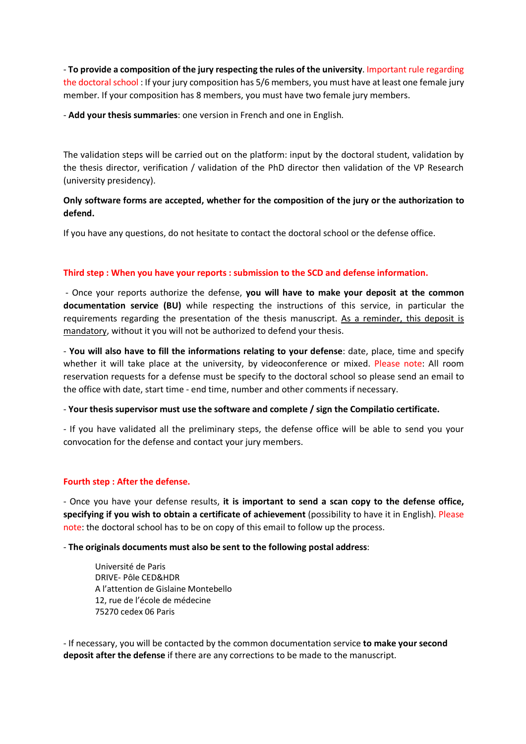- **To provide a composition of the jury respecting the rules of the university**. Important rule regarding the doctoral school : If your jury composition has 5/6 members, you must have at least one female jury member. If your composition has 8 members, you must have two female jury members.

- **Add your thesis summaries**: one version in French and one in English.

The validation steps will be carried out on the platform: input by the doctoral student, validation by the thesis director, verification / validation of the PhD director then validation of the VP Research (university presidency).

# **Only software forms are accepted, whether for the composition of the jury or the authorization to defend.**

If you have any questions, do not hesitate to contact the doctoral school or the defense office.

## **Third step : When you have your reports : submission to the SCD and defense information.**

- Once your reports authorize the defense, **you will have to make your deposit at the common documentation service (BU)** while respecting the instructions of this service, in particular the requirements regarding the presentation of the thesis manuscript. As a reminder, this deposit is mandatory, without it you will not be authorized to defend your thesis.

- **You will also have to fill the informations relating to your defense**: date, place, time and specify whether it will take place at the university, by videoconference or mixed. Please note: All room reservation requests for a defense must be specify to the doctoral school so please send an email to the office with date, start time - end time, number and other comments if necessary.

- **Your thesis supervisor must use the software and complete / sign the Compilatio certificate.**

- If you have validated all the preliminary steps, the defense office will be able to send you your convocation for the defense and contact your jury members.

## **Fourth step : After the defense.**

- Once you have your defense results, **it is important to send a scan copy to the defense office, specifying if you wish to obtain a certificate of achievement** (possibility to have it in English). Please note: the doctoral school has to be on copy of this email to follow up the process.

- **The originals documents must also be sent to the following postal address**:

Université de Paris DRIVE- Pôle CED&HDR A l'attention de Gislaine Montebello 12, rue de l'école de médecine 75270 cedex 06 Paris

- If necessary, you will be contacted by the common documentation service **to make your second deposit after the defense** if there are any corrections to be made to the manuscript.